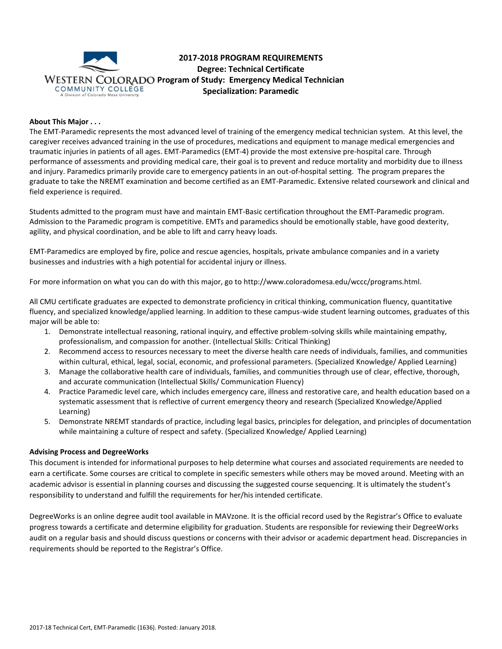

# **2017-2018 PROGRAM REQUIREMENTS Degree: Technical Certificate WESTERN COLORADO Program of Study: Emergency Medical Technician Specialization: Paramedic**

## **About This Major . . .**

The EMT-Paramedic represents the most advanced level of training of the emergency medical technician system. At this level, the caregiver receives advanced training in the use of procedures, medications and equipment to manage medical emergencies and traumatic injuries in patients of all ages. EMT-Paramedics (EMT-4) provide the most extensive pre-hospital care. Through performance of assessments and providing medical care, their goal is to prevent and reduce mortality and morbidity due to illness and injury. Paramedics primarily provide care to emergency patients in an out-of-hospital setting. The program prepares the graduate to take the NREMT examination and become certified as an EMT-Paramedic. Extensive related coursework and clinical and field experience is required.

Students admitted to the program must have and maintain EMT-Basic certification throughout the EMT-Paramedic program. Admission to the Paramedic program is competitive. EMTs and paramedics should be emotionally stable, have good dexterity, agility, and physical coordination, and be able to lift and carry heavy loads.

EMT-Paramedics are employed by fire, police and rescue agencies, hospitals, private ambulance companies and in a variety businesses and industries with a high potential for accidental injury or illness.

For more information on what you can do with this major, go to http://www.coloradomesa.edu/wccc/programs.html.

All CMU certificate graduates are expected to demonstrate proficiency in critical thinking, communication fluency, quantitative fluency, and specialized knowledge/applied learning. In addition to these campus-wide student learning outcomes, graduates of this major will be able to:

- 1. Demonstrate intellectual reasoning, rational inquiry, and effective problem-solving skills while maintaining empathy, professionalism, and compassion for another. (Intellectual Skills: Critical Thinking)
- 2. Recommend access to resources necessary to meet the diverse health care needs of individuals, families, and communities within cultural, ethical, legal, social, economic, and professional parameters. (Specialized Knowledge/ Applied Learning)
- 3. Manage the collaborative health care of individuals, families, and communities through use of clear, effective, thorough, and accurate communication (Intellectual Skills/ Communication Fluency)
- 4. Practice Paramedic level care, which includes emergency care, illness and restorative care, and health education based on a systematic assessment that is reflective of current emergency theory and research (Specialized Knowledge/Applied Learning)
- 5. Demonstrate NREMT standards of practice, including legal basics, principles for delegation, and principles of documentation while maintaining a culture of respect and safety. (Specialized Knowledge/ Applied Learning)

### **Advising Process and DegreeWorks**

This document is intended for informational purposes to help determine what courses and associated requirements are needed to earn a certificate. Some courses are critical to complete in specific semesters while others may be moved around. Meeting with an academic advisor is essential in planning courses and discussing the suggested course sequencing. It is ultimately the student's responsibility to understand and fulfill the requirements for her/his intended certificate.

DegreeWorks is an online degree audit tool available in MAVzone. It is the official record used by the Registrar's Office to evaluate progress towards a certificate and determine eligibility for graduation. Students are responsible for reviewing their DegreeWorks audit on a regular basis and should discuss questions or concerns with their advisor or academic department head. Discrepancies in requirements should be reported to the Registrar's Office.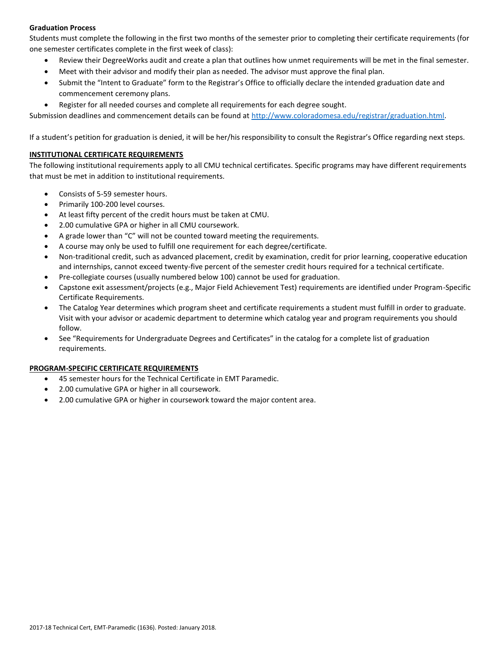# **Graduation Process**

Students must complete the following in the first two months of the semester prior to completing their certificate requirements (for one semester certificates complete in the first week of class):

- Review their DegreeWorks audit and create a plan that outlines how unmet requirements will be met in the final semester.
- Meet with their advisor and modify their plan as needed. The advisor must approve the final plan.
- Submit the "Intent to Graduate" form to the Registrar's Office to officially declare the intended graduation date and commencement ceremony plans.
- Register for all needed courses and complete all requirements for each degree sought.

Submission deadlines and commencement details can be found at [http://www.coloradomesa.edu/registrar/graduation.html.](http://www.coloradomesa.edu/registrar/graduation.html)

If a student's petition for graduation is denied, it will be her/his responsibility to consult the Registrar's Office regarding next steps.

## **INSTITUTIONAL CERTIFICATE REQUIREMENTS**

The following institutional requirements apply to all CMU technical certificates. Specific programs may have different requirements that must be met in addition to institutional requirements.

- Consists of 5-59 semester hours.
- Primarily 100-200 level courses.
- At least fifty percent of the credit hours must be taken at CMU.
- 2.00 cumulative GPA or higher in all CMU coursework.
- A grade lower than "C" will not be counted toward meeting the requirements.
- A course may only be used to fulfill one requirement for each degree/certificate.
- Non-traditional credit, such as advanced placement, credit by examination, credit for prior learning, cooperative education and internships, cannot exceed twenty-five percent of the semester credit hours required for a technical certificate.
- Pre-collegiate courses (usually numbered below 100) cannot be used for graduation.
- Capstone exit assessment/projects (e.g., Major Field Achievement Test) requirements are identified under Program-Specific Certificate Requirements.
- The Catalog Year determines which program sheet and certificate requirements a student must fulfill in order to graduate. Visit with your advisor or academic department to determine which catalog year and program requirements you should follow.
- See "Requirements for Undergraduate Degrees and Certificates" in the catalog for a complete list of graduation requirements.

# **PROGRAM-SPECIFIC CERTIFICATE REQUIREMENTS**

- 45 semester hours for the Technical Certificate in EMT Paramedic.
- 2.00 cumulative GPA or higher in all coursework.
- 2.00 cumulative GPA or higher in coursework toward the major content area.